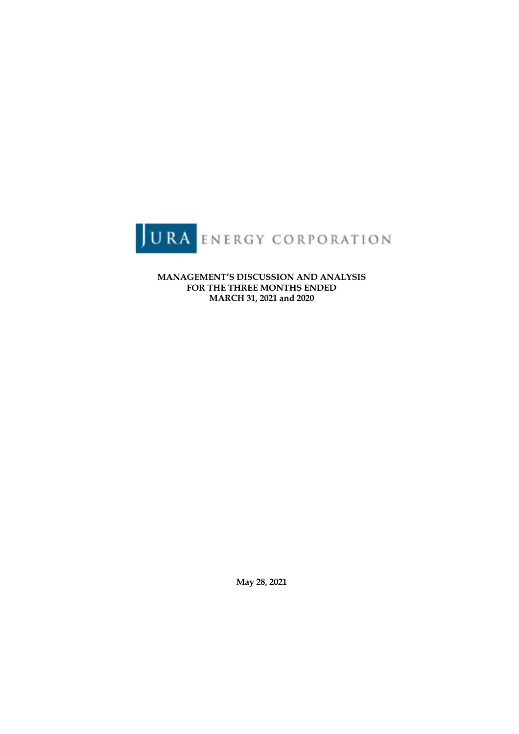

**MANAGEMENT'S DISCUSSION AND ANALYSIS FOR THE THREE MONTHS ENDED MARCH 31, 2021 and 2020**

**May 28, 2021**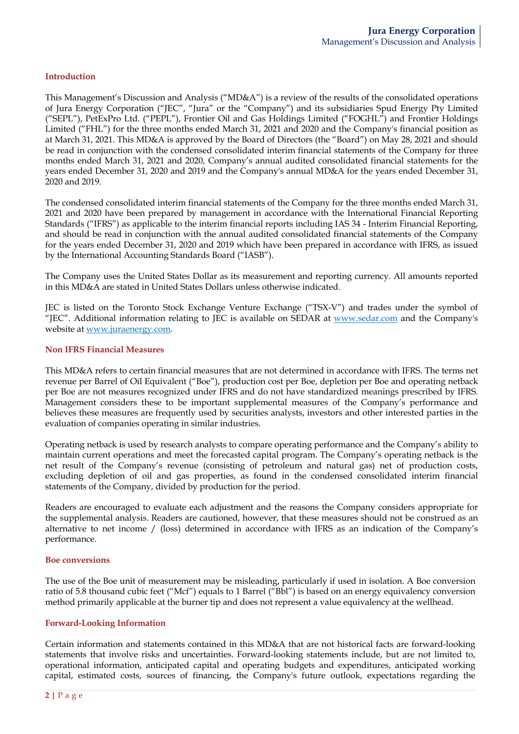### **Introduction**

This Management's Discussion and Analysis ("MD&A") is a review of the results of the consolidated operations of Jura Energy Corporation ("JEC", "Jura" or the "Company") and its subsidiaries Spud Energy Pty Limited ("SEPL"), PetExPro Ltd. ("PEPL"), Frontier Oil and Gas Holdings Limited ("FOGHL") and Frontier Holdings Limited ("FHL") for the three months ended March 31, 2021 and 2020 and the Company's financial position as at March 31, 2021. This MD&A is approved by the Board of Directors (the "Board") on May 28, 2021 and should be read in conjunction with the condensed consolidated interim financial statements of the Company for three months ended March 31, 2021 and 2020, Company's annual audited consolidated financial statements for the years ended December 31, 2020 and 2019 and the Company's annual MD&A for the years ended December 31, 2020 and 2019.

The condensed consolidated interim financial statements of the Company for the three months ended March 31, 2021 and 2020 have been prepared by management in accordance with the International Financial Reporting Standards ("IFRS") as applicable to the interim financial reports including IAS 34 - Interim Financial Reporting, and should be read in conjunction with the annual audited consolidated financial statements of the Company for the years ended December 31, 2020 and 2019 which have been prepared in accordance with IFRS, as issued by the International Accounting Standards Board ("IASB").

The Company uses the United States Dollar as its measurement and reporting currency. All amounts reported in this MD&A are stated in United States Dollars unless otherwise indicated.

JEC is listed on the Toronto Stock Exchange Venture Exchange ("TSX-V") and trades under the symbol of "[EC". Additional information relating to  $\tilde{IEC}$  is available on  $\tilde{SEDAR}$  at www.sedar.com and the Company's website at www.juraenergy.com.

#### **Non IFRS Financial Measures**

This MD&A refers to certain financial measures that are not determined in accordance with IFRS. The terms net revenue per Barrel of Oil Equivalent ("Boe"), production cost per Boe, depletion per Boe and operating netback per Boe are not measures recognized under IFRS and do not have standardized meanings prescribed by IFRS. Management considers these to be important supplemental measures of the Company's performance and believes these measures are frequently used by securities analysts, investors and other interested parties in the evaluation of companies operating in similar industries.

Operating netback is used by research analysts to compare operating performance and the Company's ability to maintain current operations and meet the forecasted capital program. The Company's operating netback is the net result of the Company's revenue (consisting of petroleum and natural gas) net of production costs, excluding depletion of oil and gas properties, as found in the condensed consolidated interim financial statements of the Company, divided by production for the period.

Readers are encouraged to evaluate each adjustment and the reasons the Company considers appropriate for the supplemental analysis. Readers are cautioned, however, that these measures should not be construed as an alternative to net income / (loss) determined in accordance with IFRS as an indication of the Company's performance.

#### **Boe conversions**

The use of the Boe unit of measurement may be misleading, particularly if used in isolation. A Boe conversion ratio of 5.8 thousand cubic feet ("Mcf") equals to 1 Barrel ("Bbl") is based on an energy equivalency conversion method primarily applicable at the burner tip and does not represent a value equivalency at the wellhead.

#### **Forward-Looking Information**

Certain information and statements contained in this MD&A that are not historical facts are forward-looking statements that involve risks and uncertainties. Forward-looking statements include, but are not limited to, operational information, anticipated capital and operating budgets and expenditures, anticipated working capital, estimated costs, sources of financing, the Company's future outlook, expectations regarding the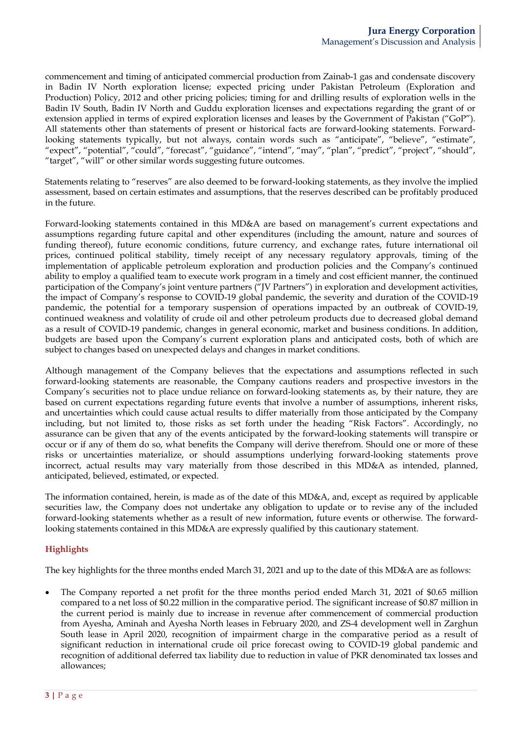commencement and timing of anticipated commercial production from Zainab-1 gas and condensate discovery in Badin IV North exploration license; expected pricing under Pakistan Petroleum (Exploration and Production) Policy, 2012 and other pricing policies; timing for and drilling results of exploration wells in the Badin IV South, Badin IV North and Guddu exploration licenses and expectations regarding the grant of or extension applied in terms of expired exploration licenses and leases by the Government of Pakistan ("GoP"). All statements other than statements of present or historical facts are forward-looking statements. Forwardlooking statements typically, but not always, contain words such as "anticipate", "believe", "estimate", "expect", "potential", "could", "forecast", "guidance", "intend", "may", "plan", "predict", "project", "should", "target", "will" or other similar words suggesting future outcomes.

Statements relating to "reserves" are also deemed to be forward-looking statements, as they involve the implied assessment, based on certain estimates and assumptions, that the reserves described can be profitably produced in the future.

Forward-looking statements contained in this MD&A are based on management's current expectations and assumptions regarding future capital and other expenditures (including the amount, nature and sources of funding thereof), future economic conditions, future currency, and exchange rates, future international oil prices, continued political stability, timely receipt of any necessary regulatory approvals, timing of the implementation of applicable petroleum exploration and production policies and the Company's continued ability to employ a qualified team to execute work program in a timely and cost efficient manner, the continued participation of the Company's joint venture partners ("JV Partners") in exploration and development activities, the impact of Company's response to COVID-19 global pandemic, the severity and duration of the COVID-19 pandemic, the potential for a temporary suspension of operations impacted by an outbreak of COVID-19, continued weakness and volatility of crude oil and other petroleum products due to decreased global demand as a result of COVID-19 pandemic, changes in general economic, market and business conditions. In addition, budgets are based upon the Company's current exploration plans and anticipated costs, both of which are subject to changes based on unexpected delays and changes in market conditions.

Although management of the Company believes that the expectations and assumptions reflected in such forward-looking statements are reasonable, the Company cautions readers and prospective investors in the Company's securities not to place undue reliance on forward-looking statements as, by their nature, they are based on current expectations regarding future events that involve a number of assumptions, inherent risks, and uncertainties which could cause actual results to differ materially from those anticipated by the Company including, but not limited to, those risks as set forth under the heading "Risk Factors". Accordingly, no assurance can be given that any of the events anticipated by the forward-looking statements will transpire or occur or if any of them do so, what benefits the Company will derive therefrom. Should one or more of these risks or uncertainties materialize, or should assumptions underlying forward-looking statements prove incorrect, actual results may vary materially from those described in this MD&A as intended, planned, anticipated, believed, estimated, or expected.

The information contained, herein, is made as of the date of this MD&A, and, except as required by applicable securities law, the Company does not undertake any obligation to update or to revise any of the included forward-looking statements whether as a result of new information, future events or otherwise. The forwardlooking statements contained in this MD&A are expressly qualified by this cautionary statement.

# **Highlights**

The key highlights for the three months ended March 31, 2021 and up to the date of this MD&A are as follows:

The Company reported a net profit for the three months period ended March 31, 2021 of \$0.65 million compared to a net loss of \$0.22 million in the comparative period. The significant increase of \$0.87 million in the current period is mainly due to increase in revenue after commencement of commercial production from Ayesha, Aminah and Ayesha North leases in February 2020, and ZS-4 development well in Zarghun South lease in April 2020, recognition of impairment charge in the comparative period as a result of significant reduction in international crude oil price forecast owing to COVID-19 global pandemic and recognition of additional deferred tax liability due to reduction in value of PKR denominated tax losses and allowances;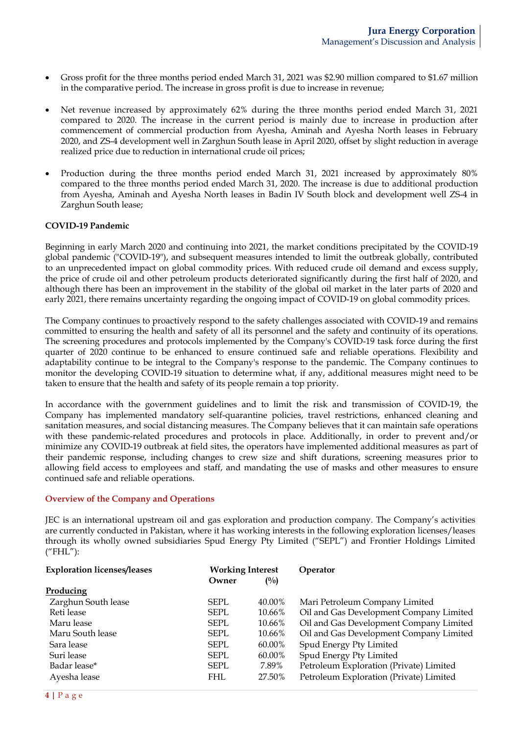- Gross profit for the three months period ended March 31, 2021 was \$2.90 million compared to \$1.67 million in the comparative period. The increase in gross profit is due to increase in revenue;
- Net revenue increased by approximately 62% during the three months period ended March 31, 2021 compared to 2020. The increase in the current period is mainly due to increase in production after commencement of commercial production from Ayesha, Aminah and Ayesha North leases in February 2020, and ZS-4 development well in Zarghun South lease in April 2020, offset by slight reduction in average realized price due to reduction in international crude oil prices;
- Production during the three months period ended March 31, 2021 increased by approximately 80% compared to the three months period ended March 31, 2020. The increase is due to additional production from Ayesha, Aminah and Ayesha North leases in Badin IV South block and development well ZS-4 in Zarghun South lease;

### **COVID-19 Pandemic**

Beginning in early March 2020 and continuing into 2021, the market conditions precipitated by the COVID-19 global pandemic ("COVID-19"), and subsequent measures intended to limit the outbreak globally, contributed to an unprecedented impact on global commodity prices. With reduced crude oil demand and excess supply, the price of crude oil and other petroleum products deteriorated significantly during the first half of 2020, and although there has been an improvement in the stability of the global oil market in the later parts of 2020 and early 2021, there remains uncertainty regarding the ongoing impact of COVID-19 on global commodity prices.

The Company continues to proactively respond to the safety challenges associated with COVID-19 and remains committed to ensuring the health and safety of all its personnel and the safety and continuity of its operations. The screening procedures and protocols implemented by the Company's COVID-19 task force during the first quarter of 2020 continue to be enhanced to ensure continued safe and reliable operations. Flexibility and adaptability continue to be integral to the Company's response to the pandemic. The Company continues to monitor the developing COVID-19 situation to determine what, if any, additional measures might need to be taken to ensure that the health and safety of its people remain a top priority.

In accordance with the government guidelines and to limit the risk and transmission of COVID-19, the Company has implemented mandatory self-quarantine policies, travel restrictions, enhanced cleaning and sanitation measures, and social distancing measures. The Company believes that it can maintain safe operations with these pandemic-related procedures and protocols in place. Additionally, in order to prevent and/or minimize any COVID-19 outbreak at field sites, the operators have implemented additional measures as part of their pandemic response, including changes to crew size and shift durations, screening measures prior to allowing field access to employees and staff, and mandating the use of masks and other measures to ensure continued safe and reliable operations.

#### **Overview of the Company and Operations**

JEC is an international upstream oil and gas exploration and production company. The Company's activities are currently conducted in Pakistan, where it has working interests in the following exploration licenses/leases through its wholly owned subsidiaries Spud Energy Pty Limited ("SEPL") and Frontier Holdings Limited ("FHL"):

| <b>Exploration licenses/leases</b> | <b>Working Interest</b> |                | Operator                                |
|------------------------------------|-------------------------|----------------|-----------------------------------------|
|                                    | Owner                   | $\binom{0}{0}$ |                                         |
| Producing                          |                         |                |                                         |
| Zarghun South lease                | <b>SEPL</b>             | 40.00%         | Mari Petroleum Company Limited          |
| Reti lease                         | SEPL                    | 10.66%         | Oil and Gas Development Company Limited |
| Maru lease                         | <b>SEPL</b>             | 10.66%         | Oil and Gas Development Company Limited |
| Maru South lease                   | SEPL                    | 10.66%         | Oil and Gas Development Company Limited |
| Sara lease                         | SEPL                    | 60.00%         | Spud Energy Pty Limited                 |
| Suri lease                         | SEPL                    | 60.00%         | Spud Energy Pty Limited                 |
| Badar lease*                       | SEPL                    | 7.89%          | Petroleum Exploration (Private) Limited |
| Ayesha lease                       | <b>FHL</b>              | 27.50%         | Petroleum Exploration (Private) Limited |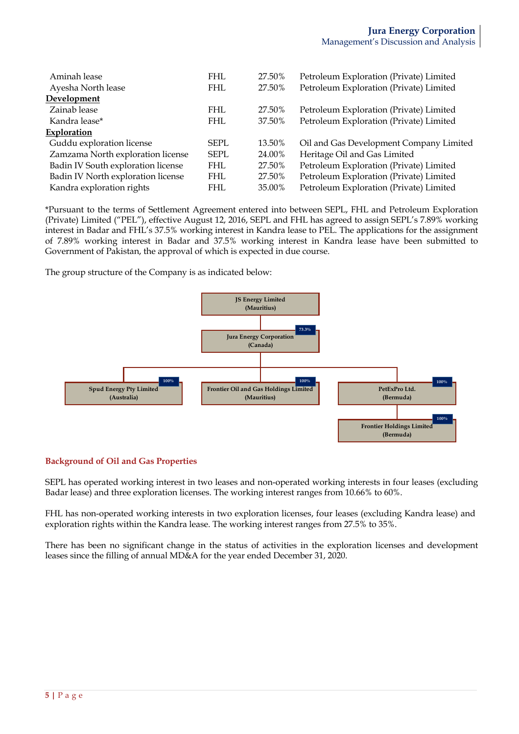| Aminah lease                       | FHL.       | 27.50% | Petroleum Exploration (Private) Limited |
|------------------------------------|------------|--------|-----------------------------------------|
| Ayesha North lease                 | FHL        | 27.50% | Petroleum Exploration (Private) Limited |
| Development                        |            |        |                                         |
| Zainab lease                       | <b>FHL</b> | 27.50% | Petroleum Exploration (Private) Limited |
| Kandra lease*                      | <b>FHL</b> | 37.50% | Petroleum Exploration (Private) Limited |
| Exploration                        |            |        |                                         |
| Guddu exploration license          | SEPL       | 13.50% | Oil and Gas Development Company Limited |
| Zamzama North exploration license  | SEPL       | 24.00% | Heritage Oil and Gas Limited            |
| Badin IV South exploration license | FHL.       | 27.50% | Petroleum Exploration (Private) Limited |
| Badin IV North exploration license | <b>FHL</b> | 27.50% | Petroleum Exploration (Private) Limited |
| Kandra exploration rights          | FHL.       | 35.00% | Petroleum Exploration (Private) Limited |

\*Pursuant to the terms of Settlement Agreement entered into between SEPL, FHL and Petroleum Exploration (Private) Limited ("PEL"), effective August 12, 2016, SEPL and FHL has agreed to assign SEPL's 7.89% working interest in Badar and FHL's 37.5% working interest in Kandra lease to PEL. The applications for the assignment of 7.89% working interest in Badar and 37.5% working interest in Kandra lease have been submitted to Government of Pakistan, the approval of which is expected in due course.

The group structure of the Company is as indicated below:



# **Background of Oil and Gas Properties**

SEPL has operated working interest in two leases and non-operated working interests in four leases (excluding Badar lease) and three exploration licenses. The working interest ranges from 10.66% to 60%.

FHL has non-operated working interests in two exploration licenses, four leases (excluding Kandra lease) and exploration rights within the Kandra lease. The working interest ranges from 27.5% to 35%.

There has been no significant change in the status of activities in the exploration licenses and development leases since the filling of annual MD&A for the year ended December 31, 2020.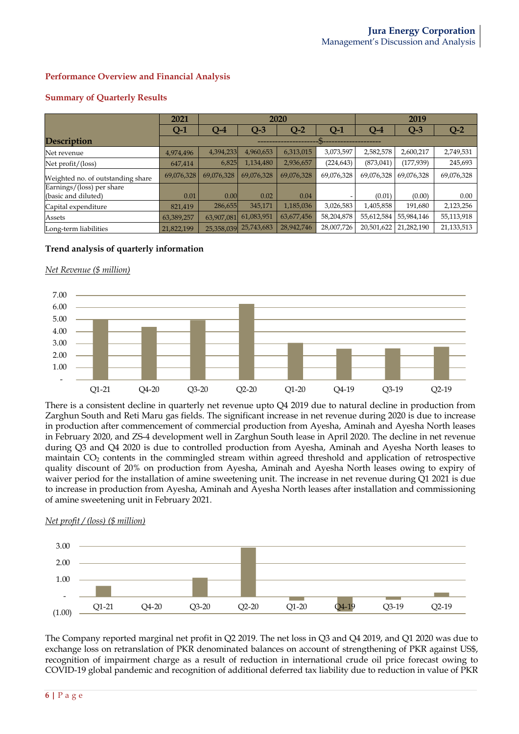# **Performance Overview and Financial Analysis**

|                                                  | 2021       | 2020       |            |            | 2019       |            |            |            |
|--------------------------------------------------|------------|------------|------------|------------|------------|------------|------------|------------|
|                                                  | $Q-1$      | $Q-4$      | $Q-3$      | $Q-2$      | Q-1        | $O-4$      | $Q-3$      | $Q-2$      |
| <b>Description</b>                               |            |            |            |            |            |            |            |            |
| Net revenue                                      | 4,974,496  | 4,394,233  | 4,960,653  | 6,313,015  | 3,073,597  | 2,582,578  | 2,600,217  | 2,749,531  |
| Net profit/(loss)                                | 647,414    | 6,825      | 1,134,480  | 2,936,657  | (224, 643) | (873, 041) | (177, 939) | 245,693    |
| Weighted no. of outstanding share                | 69,076,328 | 69,076,328 | 69,076,328 | 69,076,328 | 69,076,328 | 69,076,328 | 69.076.328 | 69,076,328 |
| Earnings/(loss) per share<br>(basic and diluted) | 0.01       | 0.00       | 0.02       | 0.04       |            | (0.01)     | (0.00)     | 0.00       |
| Capital expenditure                              | 821.419    | 286,655    | 345,171    | 1,185,036  | 3,026,583  | 1,405,858  | 191,680    | 2,123,256  |
| Assets                                           | 63,389,257 | 63,907,081 | 61,083,951 | 63,677,456 | 58,204,878 | 55,612,584 | 55,984,146 | 55,113,918 |
| Long-term liabilities                            | 21,822,199 | 25,358,039 | 25,743,683 | 28,942,746 | 28,007,726 | 20,501,622 | 21,282,190 | 21,133,513 |

# **Summary of Quarterly Results**

# **Trend analysis of quarterly information**

## *Net Revenue (\$ million)*



There is a consistent decline in quarterly net revenue upto Q4 2019 due to natural decline in production from Zarghun South and Reti Maru gas fields. The significant increase in net revenue during 2020 is due to increase in production after commencement of commercial production from Ayesha, Aminah and Ayesha North leases in February 2020, and ZS-4 development well in Zarghun South lease in April 2020. The decline in net revenue during Q3 and Q4 2020 is due to controlled production from Ayesha, Aminah and Ayesha North leases to maintain CO<sub>2</sub> contents in the commingled stream within agreed threshold and application of retrospective quality discount of 20% on production from Ayesha, Aminah and Ayesha North leases owing to expiry of waiver period for the installation of amine sweetening unit. The increase in net revenue during Q1 2021 is due to increase in production from Ayesha, Aminah and Ayesha North leases after installation and commissioning of amine sweetening unit in February 2021.

#### *Net profit / (loss) (\$ million)*



The Company reported marginal net profit in Q2 2019. The net loss in Q3 and Q4 2019, and Q1 2020 was due to exchange loss on retranslation of PKR denominated balances on account of strengthening of PKR against US\$, recognition of impairment charge as a result of reduction in international crude oil price forecast owing to COVID-19 global pandemic and recognition of additional deferred tax liability due to reduction in value of PKR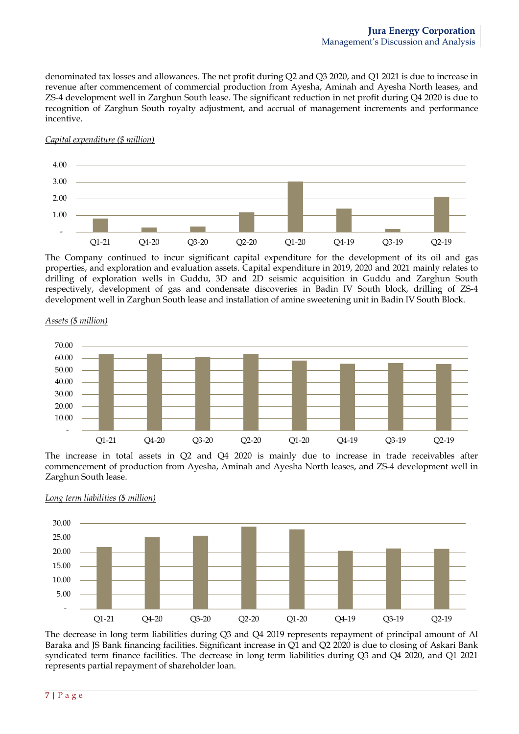denominated tax losses and allowances. The net profit during Q2 and Q3 2020, and Q1 2021 is due to increase in revenue after commencement of commercial production from Ayesha, Aminah and Ayesha North leases, and ZS-4 development well in Zarghun South lease. The significant reduction in net profit during Q4 2020 is due to recognition of Zarghun South royalty adjustment, and accrual of management increments and performance incentive.





The Company continued to incur significant capital expenditure for the development of its oil and gas properties, and exploration and evaluation assets. Capital expenditure in 2019, 2020 and 2021 mainly relates to drilling of exploration wells in Guddu, 3D and 2D seismic acquisition in Guddu and Zarghun South respectively, development of gas and condensate discoveries in Badin IV South block, drilling of ZS-4 development well in Zarghun South lease and installation of amine sweetening unit in Badin IV South Block.



*Assets (\$ million)*

The increase in total assets in Q2 and Q4 2020 is mainly due to increase in trade receivables after commencement of production from Ayesha, Aminah and Ayesha North leases, and ZS-4 development well in Zarghun South lease.





The decrease in long term liabilities during Q3 and Q4 2019 represents repayment of principal amount of Al Baraka and JS Bank financing facilities. Significant increase in Q1 and Q2 2020 is due to closing of Askari Bank syndicated term finance facilities. The decrease in long term liabilities during Q3 and Q4 2020, and Q1 2021 represents partial repayment of shareholder loan.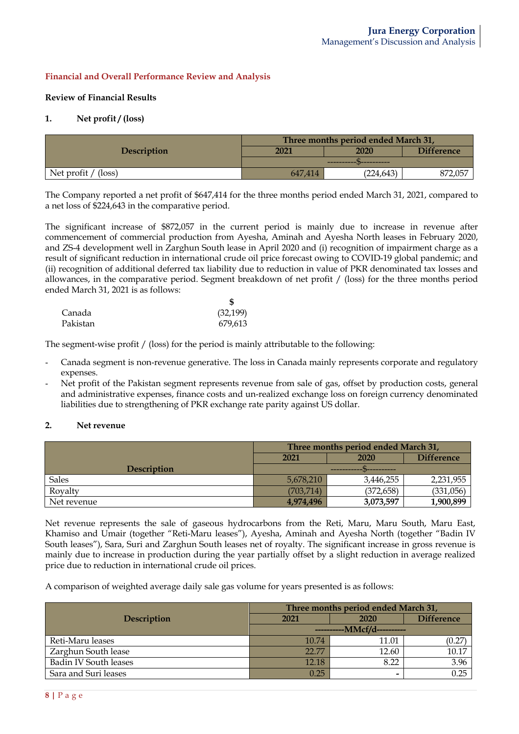# **Financial and Overall Performance Review and Analysis**

### **Review of Financial Results**

### **1. Net profit / (loss)**

|                       | Three months period ended March 31, |            |                   |  |
|-----------------------|-------------------------------------|------------|-------------------|--|
| <b>Description</b>    | 2021                                | 2020       | <b>Difference</b> |  |
|                       |                                     |            |                   |  |
| Net profit $/$ (loss) | 647,414                             | (224, 643) | 872,057           |  |

The Company reported a net profit of \$647,414 for the three months period ended March 31, 2021, compared to a net loss of \$224,643 in the comparative period.

The significant increase of \$872,057 in the current period is mainly due to increase in revenue after commencement of commercial production from Ayesha, Aminah and Ayesha North leases in February 2020, and ZS-4 development well in Zarghun South lease in April 2020 and (i) recognition of impairment charge as a result of significant reduction in international crude oil price forecast owing to COVID-19 global pandemic; and (ii) recognition of additional deferred tax liability due to reduction in value of PKR denominated tax losses and allowances, in the comparative period. Segment breakdown of net profit / (loss) for the three months period ended March 31, 2021 is as follows:

| Canada   | (32, 199) |
|----------|-----------|
| Pakistan | 679,613   |

The segment-wise profit / (loss) for the period is mainly attributable to the following:

- Canada segment is non-revenue generative. The loss in Canada mainly represents corporate and regulatory expenses.
- Net profit of the Pakistan segment represents revenue from sale of gas, offset by production costs, general and administrative expenses, finance costs and un-realized exchange loss on foreign currency denominated liabilities due to strengthening of PKR exchange rate parity against US dollar.

## **2. Net revenue**

|                    | Three months period ended March 31, |            |           |  |
|--------------------|-------------------------------------|------------|-----------|--|
|                    | <b>Difference</b><br>2021<br>2020   |            |           |  |
| <b>Description</b> |                                     |            |           |  |
| <b>Sales</b>       | 5,678,210                           | 3,446,255  | 2,231,955 |  |
| Royalty            | (703.714)                           | (372, 658) | (331,056) |  |
| Net revenue        | 4,974,496                           | 3,073,597  | 1,900,899 |  |

Net revenue represents the sale of gaseous hydrocarbons from the Reti, Maru, Maru South, Maru East, Khamiso and Umair (together "Reti-Maru leases"), Ayesha, Aminah and Ayesha North (together "Badin IV South leases"), Sara, Suri and Zarghun South leases net of royalty. The significant increase in gross revenue is mainly due to increase in production during the year partially offset by a slight reduction in average realized price due to reduction in international crude oil prices.

A comparison of weighted average daily sale gas volume for years presented is as follows:

|                              | Three months period ended March 31, |       |                   |  |
|------------------------------|-------------------------------------|-------|-------------------|--|
| <b>Description</b>           | 2021<br>2020                        |       | <b>Difference</b> |  |
|                              | -----------MMcf/d----------         |       |                   |  |
| Reti-Maru leases             | 10.74                               | 11.01 | (0.27)            |  |
| Zarghun South lease          | 22.77                               | 12.60 | 10.17             |  |
| <b>Badin IV South leases</b> | 12.18                               | 8.22  | 3.96              |  |
| Sara and Suri leases         | 0.25                                | -     | 0.25              |  |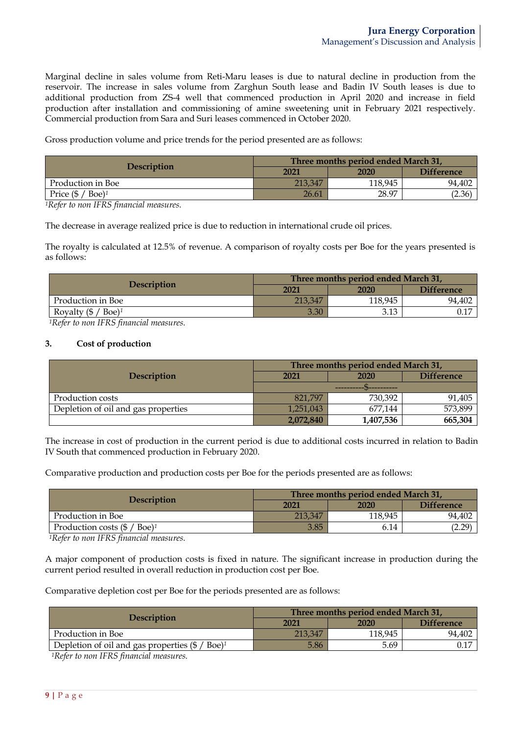Marginal decline in sales volume from Reti-Maru leases is due to natural decline in production from the reservoir. The increase in sales volume from Zarghun South lease and Badin IV South leases is due to additional production from ZS-4 well that commenced production in April 2020 and increase in field production after installation and commissioning of amine sweetening unit in February 2021 respectively. Commercial production from Sara and Suri leases commenced in October 2020.

Gross production volume and price trends for the period presented are as follows:

| <b>Description</b>              | Three months period ended March 31, |         |                   |  |
|---------------------------------|-------------------------------------|---------|-------------------|--|
|                                 | 2021                                | 2020    | <b>Difference</b> |  |
| Production in Boe               | 213.347                             | 118,945 | 94.402            |  |
| Price (\$<br>$Boe$ <sup>1</sup> | 26.61                               | 28.97   | (2.36)            |  |

*1Refer to non IFRS financial measures.*

The decrease in average realized price is due to reduction in international crude oil prices.

The royalty is calculated at 12.5% of revenue. A comparison of royalty costs per Boe for the years presented is as follows:

| <b>Description</b>                         | Three months period ended March 31, |         |                   |  |
|--------------------------------------------|-------------------------------------|---------|-------------------|--|
|                                            | 2021                                | 2020    | <b>Difference</b> |  |
| Production in Boe                          | 213,347                             | 118,945 | 94,402            |  |
| Royalty $(\frac{6}{5}$ / Boe) <sup>1</sup> | 3.30                                | 3.13    | $0.17\,$          |  |

*1Refer to non IFRS financial measures.*

### **3. Cost of production**

|                                     | Three months period ended March 31, |           |                   |  |
|-------------------------------------|-------------------------------------|-----------|-------------------|--|
| <b>Description</b>                  | 2021                                | 2020      | <b>Difference</b> |  |
|                                     |                                     |           |                   |  |
| Production costs                    | 821.797                             | 730,392   | 91,405            |  |
| Depletion of oil and gas properties | 1,251,043                           | 677.144   | 573,899           |  |
|                                     | 2,072,840                           | 1,407,536 | 665,304           |  |

The increase in cost of production in the current period is due to additional costs incurred in relation to Badin IV South that commenced production in February 2020.

Comparative production and production costs per Boe for the periods presented are as follows:

| <b>Description</b>                                  | Three months period ended March 31, |         |                   |  |
|-----------------------------------------------------|-------------------------------------|---------|-------------------|--|
|                                                     | 2021                                | 2020    | <b>Difference</b> |  |
| Production in Boe                                   | 213,347                             | 118,945 | 94,402            |  |
| Production costs $(\frac{6}{5}$ / Boe) <sup>1</sup> | 3.85                                | 6.14    | (2.29)            |  |

*1Refer to non IFRS financial measures.*

A major component of production costs is fixed in nature. The significant increase in production during the current period resulted in overall reduction in production cost per Boe.

Comparative depletion cost per Boe for the periods presented are as follows:

| <b>Description</b>                                                     | Three months period ended March 31, |         |                   |  |
|------------------------------------------------------------------------|-------------------------------------|---------|-------------------|--|
|                                                                        | 2021                                | 2020    | <b>Difference</b> |  |
| Production in Boe                                                      | 213.347                             | 118,945 | 94,402            |  |
| Depletion of oil and gas properties $(\frac{6}{7}$ / Boe) <sup>1</sup> | 5.86                                | 5.69    |                   |  |

*1Refer to non IFRS financial measures.*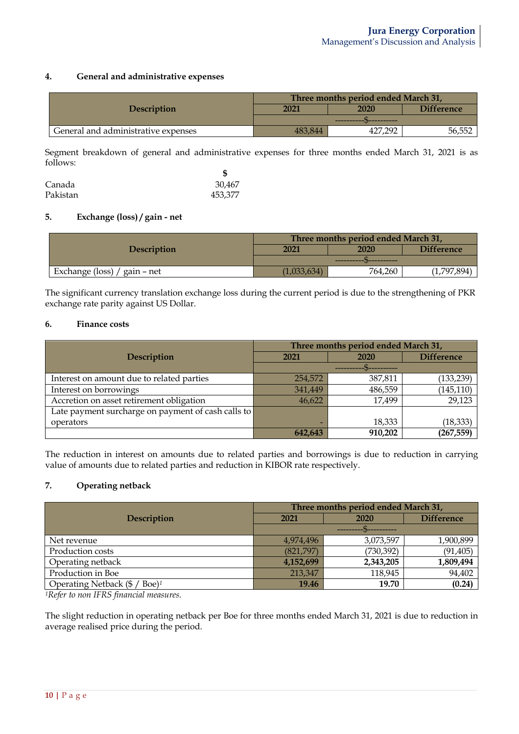## **4. General and administrative expenses**

|                                     | Three months period ended March 31, |             |                   |  |
|-------------------------------------|-------------------------------------|-------------|-------------------|--|
| <b>Description</b>                  | 2021                                | 2020        | <b>Difference</b> |  |
|                                     |                                     |             |                   |  |
| General and administrative expenses | 483.844                             | 292.<br>427 | 56,552            |  |

Segment breakdown of general and administrative expenses for three months ended March 31, 2021 is as follows:

| Canada   | 30,467  |
|----------|---------|
| Pakistan | 453,377 |

## **5. Exchange (loss) / gain - net**

|                                | Three months period ended March 31, |         |                   |  |
|--------------------------------|-------------------------------------|---------|-------------------|--|
| <b>Description</b>             | 2021                                | 2020    | <b>Difference</b> |  |
|                                | ------------ N----------            |         |                   |  |
| Exchange (loss) / gain $-$ net | (1,033,634)                         | 764,260 | (1,797,894)       |  |

The significant currency translation exchange loss during the current period is due to the strengthening of PKR exchange rate parity against US Dollar.

### **6. Finance costs**

|                                                    | Three months period ended March 31, |         |                   |  |
|----------------------------------------------------|-------------------------------------|---------|-------------------|--|
| Description                                        | 2021                                | 2020    | <b>Difference</b> |  |
|                                                    |                                     |         |                   |  |
| Interest on amount due to related parties          | 254,572                             | 387,811 | (133, 239)        |  |
| Interest on borrowings                             | 341,449                             | 486,559 | (145, 110)        |  |
| Accretion on asset retirement obligation           | 46,622                              | 17,499  | 29,123            |  |
| Late payment surcharge on payment of cash calls to |                                     |         |                   |  |
| operators                                          |                                     | 18,333  | (18, 333)         |  |
|                                                    | 642,643                             | 910,202 | (267, 559)        |  |

The reduction in interest on amounts due to related parties and borrowings is due to reduction in carrying value of amounts due to related parties and reduction in KIBOR rate respectively.

# **7. Operating netback**

|                                               | Three months period ended March 31, |            |                   |  |
|-----------------------------------------------|-------------------------------------|------------|-------------------|--|
| <b>Description</b>                            | 2021                                | 2020       | <b>Difference</b> |  |
|                                               |                                     |            |                   |  |
| Net revenue                                   | 4,974,496                           | 3,073,597  | 1,900,899         |  |
| Production costs                              | (821,797)                           | (730, 392) | (91, 405)         |  |
| Operating netback                             | 4,152,699                           | 2,343,205  | 1,809,494         |  |
| Production in Boe                             | 213,347                             | 118,945    | 94,402            |  |
| Operating Netback (\$ /<br>$Boe$ <sup>1</sup> | 19.46                               | 19.70      | (0.24)            |  |

*1Refer to non IFRS financial measures.*

The slight reduction in operating netback per Boe for three months ended March 31, 2021 is due to reduction in average realised price during the period.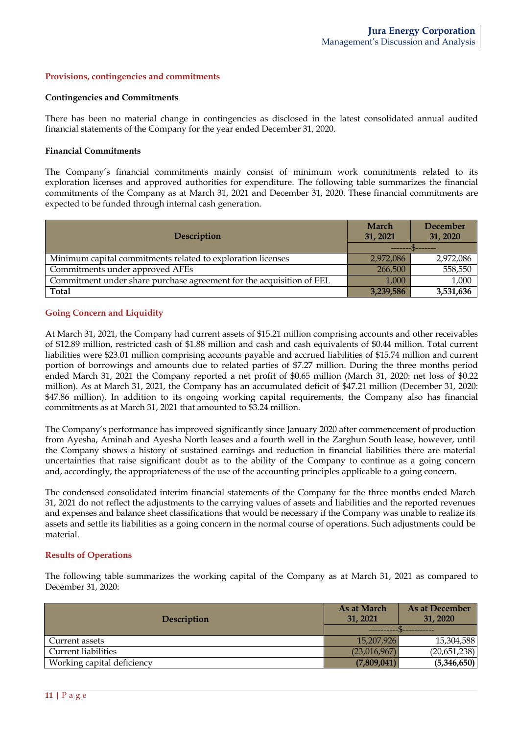#### **Provisions, contingencies and commitments**

#### **Contingencies and Commitments**

There has been no material change in contingencies as disclosed in the latest consolidated annual audited financial statements of the Company for the year ended December 31, 2020.

#### **Financial Commitments**

The Company's financial commitments mainly consist of minimum work commitments related to its exploration licenses and approved authorities for expenditure. The following table summarizes the financial commitments of the Company as at March 31, 2021 and December 31, 2020. These financial commitments are expected to be funded through internal cash generation.

| Description                                                          | March<br>31, 2021 | December<br>31, 2020 |
|----------------------------------------------------------------------|-------------------|----------------------|
|                                                                      |                   |                      |
| Minimum capital commitments related to exploration licenses          | 2,972,086         | 2,972,086            |
| Commitments under approved AFEs                                      | 266,500           | 558,550              |
| Commitment under share purchase agreement for the acquisition of EEL | 1,000             | 1,000                |
| <b>Total</b>                                                         | 3,239,586         | 3,531,636            |

### **Going Concern and Liquidity**

At March 31, 2021, the Company had current assets of \$15.21 million comprising accounts and other receivables of \$12.89 million, restricted cash of \$1.88 million and cash and cash equivalents of \$0.44 million. Total current liabilities were \$23.01 million comprising accounts payable and accrued liabilities of \$15.74 million and current portion of borrowings and amounts due to related parties of \$7.27 million. During the three months period ended March 31, 2021 the Company reported a net profit of \$0.65 million (March 31, 2020: net loss of \$0.22 million). As at March 31, 2021, the Company has an accumulated deficit of \$47.21 million (December 31, 2020: \$47.86 million). In addition to its ongoing working capital requirements, the Company also has financial commitments as at March 31, 2021 that amounted to \$3.24 million.

The Company's performance has improved significantly since January 2020 after commencement of production from Ayesha, Aminah and Ayesha North leases and a fourth well in the Zarghun South lease, however, until the Company shows a history of sustained earnings and reduction in financial liabilities there are material uncertainties that raise significant doubt as to the ability of the Company to continue as a going concern and, accordingly, the appropriateness of the use of the accounting principles applicable to a going concern.

The condensed consolidated interim financial statements of the Company for the three months ended March 31, 2021 do not reflect the adjustments to the carrying values of assets and liabilities and the reported revenues and expenses and balance sheet classifications that would be necessary if the Company was unable to realize its assets and settle its liabilities as a going concern in the normal course of operations. Such adjustments could be material.

#### **Results of Operations**

The following table summarizes the working capital of the Company as at March 31, 2021 as compared to December 31, 2020:

| <b>Description</b>         | As at March<br>31, 2021      | As at December<br>31, 2020 |  |
|----------------------------|------------------------------|----------------------------|--|
|                            |                              |                            |  |
| Current assets             | 15,207,926                   | 15,304,588                 |  |
| <b>Current liabilities</b> | (20,651,238)<br>(23,016,967) |                            |  |
| Working capital deficiency | (7,809,041)                  | (5,346,650)                |  |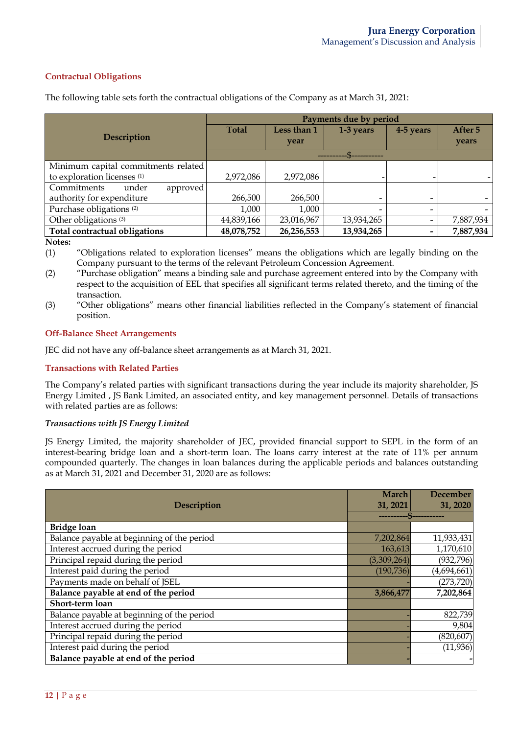# **Contractual Obligations**

| Payments due by period |                                                 |            |                          |           |
|------------------------|-------------------------------------------------|------------|--------------------------|-----------|
| <b>Total</b>           | Less than 1                                     | 1-3 years  | 4-5 years                | After 5   |
|                        | year                                            |            |                          | years     |
|                        |                                                 |            |                          |           |
|                        |                                                 |            |                          |           |
| 2,972,086              | 2,972,086                                       |            |                          |           |
|                        |                                                 |            |                          |           |
| 266,500                | 266,500                                         | -          | $\overline{\phantom{0}}$ |           |
| 1,000                  | 1,000                                           |            |                          |           |
| 44,839,166             | 23,016,967                                      | 13,934,265 | $\overline{\phantom{a}}$ | 7,887,934 |
| 48,078,752             | 26,256,553                                      | 13,934,265 | $\qquad \qquad$          | 7,887,934 |
|                        | Minimum capital commitments related<br>approved |            |                          |           |

The following table sets forth the contractual obligations of the Company as at March 31, 2021:

**Notes:**

(1) "Obligations related to exploration licenses" means the obligations which are legally binding on the Company pursuant to the terms of the relevant Petroleum Concession Agreement.

(2) "Purchase obligation" means a binding sale and purchase agreement entered into by the Company with respect to the acquisition of EEL that specifies all significant terms related thereto, and the timing of the transaction.

(3) "Other obligations" means other financial liabilities reflected in the Company's statement of financial position.

## **Off-Balance Sheet Arrangements**

JEC did not have any off-balance sheet arrangements as at March 31, 2021.

## **Transactions with Related Parties**

The Company's related parties with significant transactions during the year include its majority shareholder, JS Energy Limited , JS Bank Limited, an associated entity, and key management personnel. Details of transactions with related parties are as follows:

# *Transactions with JS Energy Limited*

JS Energy Limited, the majority shareholder of JEC, provided financial support to SEPL in the form of an interest-bearing bridge loan and a short-term loan. The loans carry interest at the rate of 11% per annum compounded quarterly. The changes in loan balances during the applicable periods and balances outstanding as at March 31, 2021 and December 31, 2020 are as follows:

| Description                                | March<br>31, 2021 | <b>December</b><br>31, 2020 |
|--------------------------------------------|-------------------|-----------------------------|
|                                            |                   |                             |
| <b>Bridge loan</b>                         |                   |                             |
| Balance payable at beginning of the period | 7,202,864         | 11,933,431                  |
| Interest accrued during the period         | 163,613           | 1,170,610                   |
| Principal repaid during the period         | (3,309,264)       | (932, 796)                  |
| Interest paid during the period            | (190, 736)        | (4,694,661)                 |
| Payments made on behalf of JSEL            |                   | (273, 720)                  |
| Balance payable at end of the period       | 3,866,477         | 7,202,864                   |
| Short-term loan                            |                   |                             |
| Balance payable at beginning of the period |                   | 822,739                     |
| Interest accrued during the period         |                   | 9,804                       |
| Principal repaid during the period         |                   | (820, 607)                  |
| Interest paid during the period            |                   | (11, 936)                   |
| Balance payable at end of the period       |                   |                             |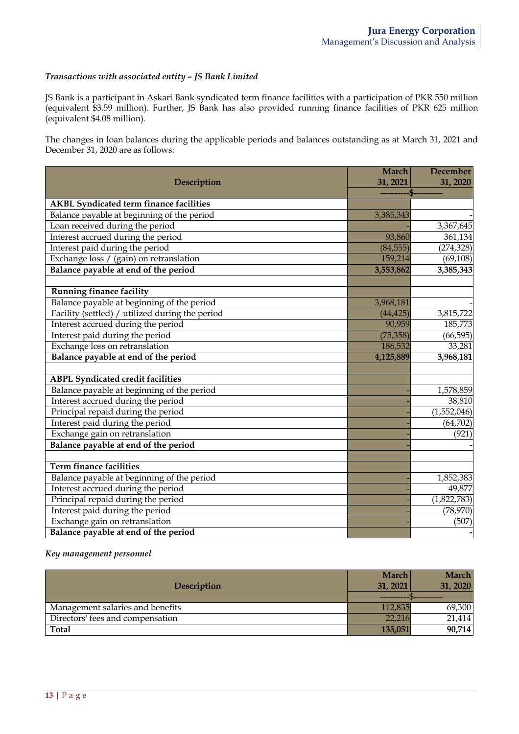## *Transactions with associated entity – JS Bank Limited*

JS Bank is a participant in Askari Bank syndicated term finance facilities with a participation of PKR 550 million (equivalent \$3.59 million). Further, JS Bank has also provided running finance facilities of PKR 625 million (equivalent \$4.08 million).

The changes in loan balances during the applicable periods and balances outstanding as at March 31, 2021 and December 31, 2020 are as follows:

|                                                 | <b>March</b> | <b>December</b> |
|-------------------------------------------------|--------------|-----------------|
| Description                                     | 31, 2021     | 31, 2020        |
|                                                 |              |                 |
| <b>AKBL Syndicated term finance facilities</b>  |              |                 |
| Balance payable at beginning of the period      | 3,385,343    |                 |
| Loan received during the period                 |              | 3,367,645       |
| Interest accrued during the period              | 93,860       | 361,134         |
| Interest paid during the period                 | (84, 555)    | (274, 328)      |
| Exchange loss / (gain) on retranslation         | 159,214      | (69, 108)       |
| Balance payable at end of the period            | 3,553,862    | 3,385,343       |
|                                                 |              |                 |
| <b>Running finance facility</b>                 |              |                 |
| Balance payable at beginning of the period      | 3,968,181    |                 |
| Facility (settled) / utilized during the period | (44, 425)    | 3,815,722       |
| Interest accrued during the period              | 90,959       | 185,773         |
| Interest paid during the period                 | (75, 358)    | (66, 595)       |
| Exchange loss on retranslation                  | 186,532      | 33,281          |
| Balance payable at end of the period            | 4,125,889    | 3,968,181       |
|                                                 |              |                 |
| <b>ABPL Syndicated credit facilities</b>        |              |                 |
| Balance payable at beginning of the period      |              | 1,578,859       |
| Interest accrued during the period              |              | 38,810          |
| Principal repaid during the period              |              | (1,552,046)     |
| Interest paid during the period                 |              | (64, 702)       |
| Exchange gain on retranslation                  |              | (921)           |
| Balance payable at end of the period            |              |                 |
|                                                 |              |                 |
| <b>Term finance facilities</b>                  |              |                 |
| Balance payable at beginning of the period      |              | 1,852,383       |
| Interest accrued during the period              |              | 49,877          |
| Principal repaid during the period              |              | (1,822,783)     |
| Interest paid during the period                 |              | (78, 970)       |
| Exchange gain on retranslation                  |              | (507)           |
| Balance payable at end of the period            |              |                 |

*Key management personnel*

| <b>Description</b>               | <b>March</b><br>31, 2021 | <b>March</b><br>31, 2020 |
|----------------------------------|--------------------------|--------------------------|
|                                  |                          |                          |
| Management salaries and benefits | 112,835                  | 69,300                   |
| Directors' fees and compensation | 22,216                   | 21,414                   |
| <b>Total</b>                     | 135,051                  | 90,714                   |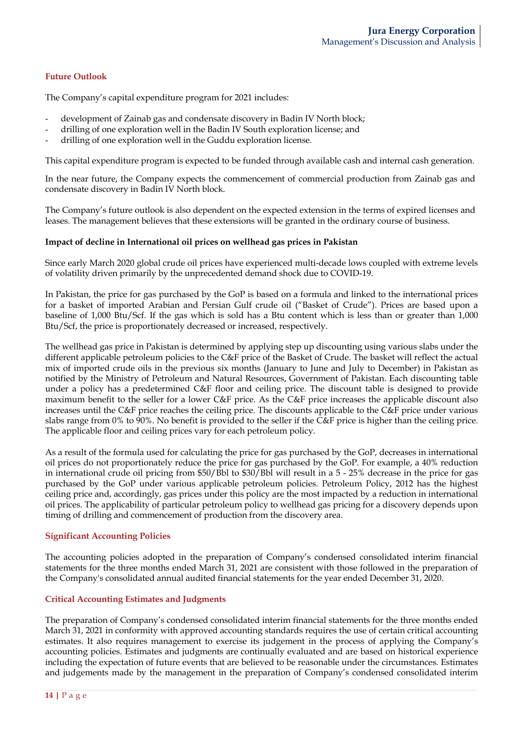# **Future Outlook**

The Company's capital expenditure program for 2021 includes:

- development of Zainab gas and condensate discovery in Badin IV North block;
- drilling of one exploration well in the Badin IV South exploration license; and
- drilling of one exploration well in the Guddu exploration license.

This capital expenditure program is expected to be funded through available cash and internal cash generation.

In the near future, the Company expects the commencement of commercial production from Zainab gas and condensate discovery in Badin IV North block.

The Company's future outlook is also dependent on the expected extension in the terms of expired licenses and leases. The management believes that these extensions will be granted in the ordinary course of business.

## **Impact of decline in International oil prices on wellhead gas prices in Pakistan**

Since early March 2020 global crude oil prices have experienced multi-decade lows coupled with extreme levels of volatility driven primarily by the unprecedented demand shock due to COVID-19.

In Pakistan, the price for gas purchased by the GoP is based on a formula and linked to the international prices for a basket of imported Arabian and Persian Gulf crude oil ("Basket of Crude"). Prices are based upon a baseline of 1,000 Btu/Scf. If the gas which is sold has a Btu content which is less than or greater than 1,000 Btu/Scf, the price is proportionately decreased or increased, respectively.

The wellhead gas price in Pakistan is determined by applying step up discounting using various slabs under the different applicable petroleum policies to the C&F price of the Basket of Crude. The basket will reflect the actual mix of imported crude oils in the previous six months (January to June and July to December) in Pakistan as notified by the Ministry of Petroleum and Natural Resources, Government of Pakistan. Each discounting table under a policy has a predetermined C&F floor and ceiling price. The discount table is designed to provide maximum benefit to the seller for a lower C&F price. As the C&F price increases the applicable discount also increases until the C&F price reaches the ceiling price. The discounts applicable to the C&F price under various slabs range from 0% to 90%. No benefit is provided to the seller if the C&F price is higher than the ceiling price. The applicable floor and ceiling prices vary for each petroleum policy.

As a result of the formula used for calculating the price for gas purchased by the GoP, decreases in international oil prices do not proportionately reduce the price for gas purchased by the GoP. For example, a 40% reduction in international crude oil pricing from \$50/Bbl to \$30/Bbl will result in a 5 - 25% decrease in the price for gas purchased by the GoP under various applicable petroleum policies. Petroleum Policy, 2012 has the highest ceiling price and, accordingly, gas prices under this policy are the most impacted by a reduction in international oil prices. The applicability of particular petroleum policy to wellhead gas pricing for a discovery depends upon timing of drilling and commencement of production from the discovery area.

## **Significant Accounting Policies**

The accounting policies adopted in the preparation of Company's condensed consolidated interim financial statements for the three months ended March 31, 2021 are consistent with those followed in the preparation of the Company's consolidated annual audited financial statements for the year ended December 31, 2020.

# **Critical Accounting Estimates and Judgments**

The preparation of Company's condensed consolidated interim financial statements for the three months ended March 31, 2021 in conformity with approved accounting standards requires the use of certain critical accounting estimates. It also requires management to exercise its judgement in the process of applying the Company's accounting policies. Estimates and judgments are continually evaluated and are based on historical experience including the expectation of future events that are believed to be reasonable under the circumstances. Estimates and judgements made by the management in the preparation of Company's condensed consolidated interim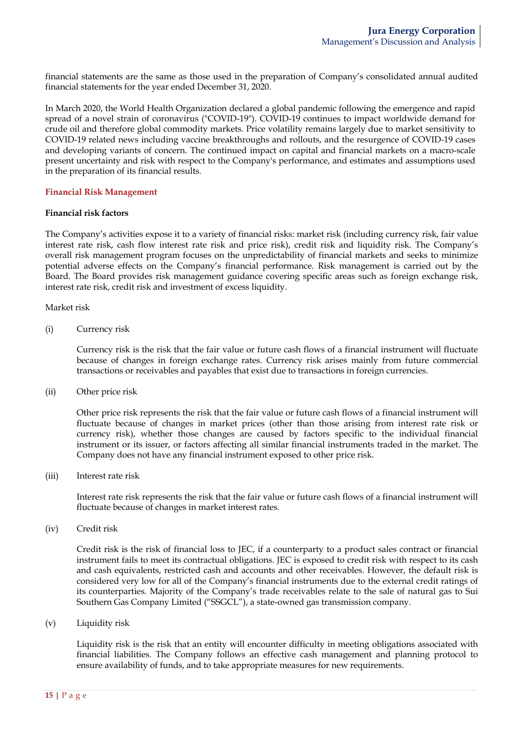financial statements are the same as those used in the preparation of Company's consolidated annual audited financial statements for the year ended December 31, 2020.

In March 2020, the World Health Organization declared a global pandemic following the emergence and rapid spread of a novel strain of coronavirus ("COVID-19"). COVID-19 continues to impact worldwide demand for crude oil and therefore global commodity markets. Price volatility remains largely due to market sensitivity to COVID-19 related news including vaccine breakthroughs and rollouts, and the resurgence of COVID-19 cases and developing variants of concern. The continued impact on capital and financial markets on a macro-scale present uncertainty and risk with respect to the Company's performance, and estimates and assumptions used in the preparation of its financial results.

#### **Financial Risk Management**

#### **Financial risk factors**

The Company's activities expose it to a variety of financial risks: market risk (including currency risk, fair value interest rate risk, cash flow interest rate risk and price risk), credit risk and liquidity risk. The Company's overall risk management program focuses on the unpredictability of financial markets and seeks to minimize potential adverse effects on the Company's financial performance. Risk management is carried out by the Board. The Board provides risk management guidance covering specific areas such as foreign exchange risk, interest rate risk, credit risk and investment of excess liquidity.

Market risk

(i) Currency risk

Currency risk is the risk that the fair value or future cash flows of a financial instrument will fluctuate because of changes in foreign exchange rates. Currency risk arises mainly from future commercial transactions or receivables and payables that exist due to transactions in foreign currencies.

(ii) Other price risk

Other price risk represents the risk that the fair value or future cash flows of a financial instrument will fluctuate because of changes in market prices (other than those arising from interest rate risk or currency risk), whether those changes are caused by factors specific to the individual financial instrument or its issuer, or factors affecting all similar financial instruments traded in the market. The Company does not have any financial instrument exposed to other price risk.

(iii) Interest rate risk

Interest rate risk represents the risk that the fair value or future cash flows of a financial instrument will fluctuate because of changes in market interest rates.

(iv) Credit risk

Credit risk is the risk of financial loss to JEC, if a counterparty to a product sales contract or financial instrument fails to meet its contractual obligations. JEC is exposed to credit risk with respect to its cash and cash equivalents, restricted cash and accounts and other receivables. However, the default risk is considered very low for all of the Company's financial instruments due to the external credit ratings of its counterparties. Majority of the Company's trade receivables relate to the sale of natural gas to Sui Southern Gas Company Limited ("SSGCL"), a state-owned gas transmission company.

(v) Liquidity risk

Liquidity risk is the risk that an entity will encounter difficulty in meeting obligations associated with financial liabilities. The Company follows an effective cash management and planning protocol to ensure availability of funds, and to take appropriate measures for new requirements.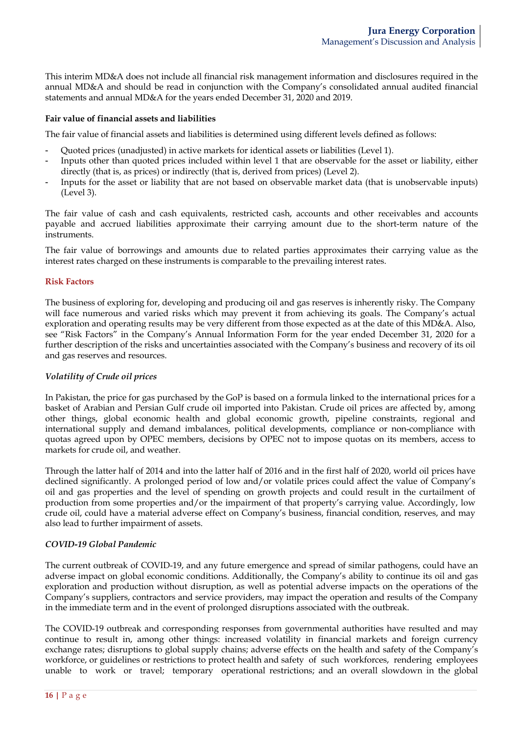This interim MD&A does not include all financial risk management information and disclosures required in the annual MD&A and should be read in conjunction with the Company's consolidated annual audited financial statements and annual MD&A for the years ended December 31, 2020 and 2019.

### **Fair value of financial assets and liabilities**

The fair value of financial assets and liabilities is determined using different levels defined as follows:

- Quoted prices (unadjusted) in active markets for identical assets or liabilities (Level 1).
- Inputs other than quoted prices included within level 1 that are observable for the asset or liability, either directly (that is, as prices) or indirectly (that is, derived from prices) (Level 2).
- Inputs for the asset or liability that are not based on observable market data (that is unobservable inputs) (Level 3).

The fair value of cash and cash equivalents, restricted cash, accounts and other receivables and accounts payable and accrued liabilities approximate their carrying amount due to the short-term nature of the instruments.

The fair value of borrowings and amounts due to related parties approximates their carrying value as the interest rates charged on these instruments is comparable to the prevailing interest rates.

### **Risk Factors**

The business of exploring for, developing and producing oil and gas reserves is inherently risky. The Company will face numerous and varied risks which may prevent it from achieving its goals. The Company's actual exploration and operating results may be very different from those expected as at the date of this MD&A. Also, see "Risk Factors" in the Company's Annual Information Form for the year ended December 31, 2020 for a further description of the risks and uncertainties associated with the Company's business and recovery of its oil and gas reserves and resources.

## *Volatility of Crude oil prices*

In Pakistan, the price for gas purchased by the GoP is based on a formula linked to the international prices for a basket of Arabian and Persian Gulf crude oil imported into Pakistan. Crude oil prices are affected by, among other things, global economic health and global economic growth, pipeline constraints, regional and international supply and demand imbalances, political developments, compliance or non-compliance with quotas agreed upon by OPEC members, decisions by OPEC not to impose quotas on its members, access to markets for crude oil, and weather.

Through the latter half of 2014 and into the latter half of 2016 and in the first half of 2020, world oil prices have declined significantly. A prolonged period of low and/or volatile prices could affect the value of Company's oil and gas properties and the level of spending on growth projects and could result in the curtailment of production from some properties and/or the impairment of that property's carrying value. Accordingly, low crude oil, could have a material adverse effect on Company's business, financial condition, reserves, and may also lead to further impairment of assets.

## *COVID-19 Global Pandemic*

The current outbreak of COVID-19, and any future emergence and spread of similar pathogens, could have an adverse impact on global economic conditions. Additionally, the Company's ability to continue its oil and gas exploration and production without disruption, as well as potential adverse impacts on the operations of the Company's suppliers, contractors and service providers, may impact the operation and results of the Company in the immediate term and in the event of prolonged disruptions associated with the outbreak.

The COVID-19 outbreak and corresponding responses from governmental authorities have resulted and may continue to result in, among other things: increased volatility in financial markets and foreign currency exchange rates; disruptions to global supply chains; adverse effects on the health and safety of the Company's workforce, or guidelines or restrictions to protect health and safety of such workforces, rendering employees unable to work or travel; temporary operational restrictions; and an overall slowdown in the global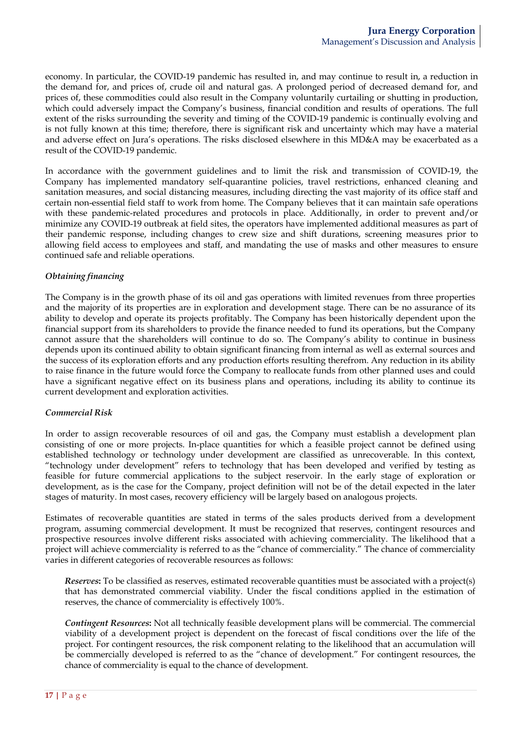economy. In particular, the COVID-19 pandemic has resulted in, and may continue to result in, a reduction in the demand for, and prices of, crude oil and natural gas. A prolonged period of decreased demand for, and prices of, these commodities could also result in the Company voluntarily curtailing or shutting in production, which could adversely impact the Company's business, financial condition and results of operations. The full extent of the risks surrounding the severity and timing of the COVID-19 pandemic is continually evolving and is not fully known at this time; therefore, there is significant risk and uncertainty which may have a material and adverse effect on Jura's operations. The risks disclosed elsewhere in this MD&A may be exacerbated as a result of the COVID-19 pandemic.

In accordance with the government guidelines and to limit the risk and transmission of COVID-19, the Company has implemented mandatory self-quarantine policies, travel restrictions, enhanced cleaning and sanitation measures, and social distancing measures, including directing the vast majority of its office staff and certain non-essential field staff to work from home. The Company believes that it can maintain safe operations with these pandemic-related procedures and protocols in place. Additionally, in order to prevent and/or minimize any COVID-19 outbreak at field sites, the operators have implemented additional measures as part of their pandemic response, including changes to crew size and shift durations, screening measures prior to allowing field access to employees and staff, and mandating the use of masks and other measures to ensure continued safe and reliable operations.

## *Obtaining financing*

The Company is in the growth phase of its oil and gas operations with limited revenues from three properties and the majority of its properties are in exploration and development stage. There can be no assurance of its ability to develop and operate its projects profitably. The Company has been historically dependent upon the financial support from its shareholders to provide the finance needed to fund its operations, but the Company cannot assure that the shareholders will continue to do so. The Company's ability to continue in business depends upon its continued ability to obtain significant financing from internal as well as external sources and the success of its exploration efforts and any production efforts resulting therefrom. Any reduction in its ability to raise finance in the future would force the Company to reallocate funds from other planned uses and could have a significant negative effect on its business plans and operations, including its ability to continue its current development and exploration activities.

## *Commercial Risk*

In order to assign recoverable resources of oil and gas, the Company must establish a development plan consisting of one or more projects. In-place quantities for which a feasible project cannot be defined using established technology or technology under development are classified as unrecoverable. In this context, "technology under development" refers to technology that has been developed and verified by testing as feasible for future commercial applications to the subject reservoir. In the early stage of exploration or development, as is the case for the Company, project definition will not be of the detail expected in the later stages of maturity. In most cases, recovery efficiency will be largely based on analogous projects.

Estimates of recoverable quantities are stated in terms of the sales products derived from a development program, assuming commercial development. It must be recognized that reserves, contingent resources and prospective resources involve different risks associated with achieving commerciality. The likelihood that a project will achieve commerciality is referred to as the "chance of commerciality." The chance of commerciality varies in different categories of recoverable resources as follows:

*Reserves***:** To be classified as reserves, estimated recoverable quantities must be associated with a project(s) that has demonstrated commercial viability. Under the fiscal conditions applied in the estimation of reserves, the chance of commerciality is effectively 100%.

*Contingent Resources***:** Not all technically feasible development plans will be commercial. The commercial viability of a development project is dependent on the forecast of fiscal conditions over the life of the project. For contingent resources, the risk component relating to the likelihood that an accumulation will be commercially developed is referred to as the "chance of development." For contingent resources, the chance of commerciality is equal to the chance of development.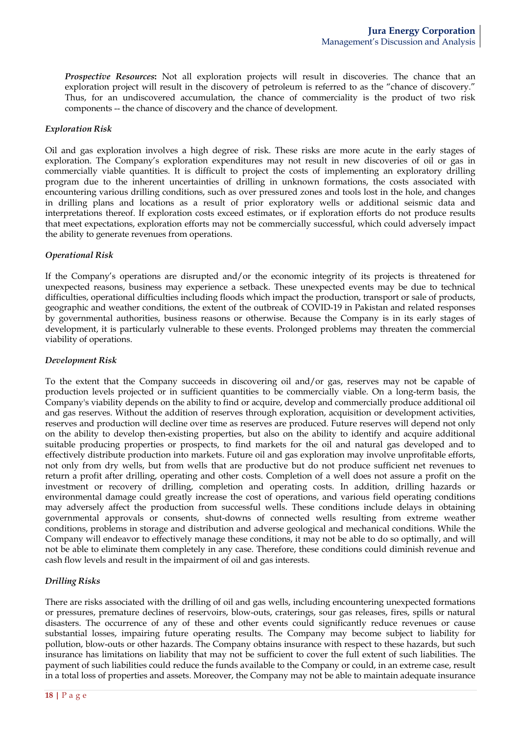*Prospective Resources***:** Not all exploration projects will result in discoveries. The chance that an exploration project will result in the discovery of petroleum is referred to as the "chance of discovery." Thus, for an undiscovered accumulation, the chance of commerciality is the product of two risk components -- the chance of discovery and the chance of development.

### *Exploration Risk*

Oil and gas exploration involves a high degree of risk. These risks are more acute in the early stages of exploration. The Company's exploration expenditures may not result in new discoveries of oil or gas in commercially viable quantities. It is difficult to project the costs of implementing an exploratory drilling program due to the inherent uncertainties of drilling in unknown formations, the costs associated with encountering various drilling conditions, such as over pressured zones and tools lost in the hole, and changes in drilling plans and locations as a result of prior exploratory wells or additional seismic data and interpretations thereof. If exploration costs exceed estimates, or if exploration efforts do not produce results that meet expectations, exploration efforts may not be commercially successful, which could adversely impact the ability to generate revenues from operations.

### *Operational Risk*

If the Company's operations are disrupted and/or the economic integrity of its projects is threatened for unexpected reasons, business may experience a setback. These unexpected events may be due to technical difficulties, operational difficulties including floods which impact the production, transport or sale of products, geographic and weather conditions, the extent of the outbreak of COVID-19 in Pakistan and related responses by governmental authorities, business reasons or otherwise. Because the Company is in its early stages of development, it is particularly vulnerable to these events. Prolonged problems may threaten the commercial viability of operations.

### *Development Risk*

To the extent that the Company succeeds in discovering oil and/or gas, reserves may not be capable of production levels projected or in sufficient quantities to be commercially viable. On a long-term basis, the Company's viability depends on the ability to find or acquire, develop and commercially produce additional oil and gas reserves. Without the addition of reserves through exploration, acquisition or development activities, reserves and production will decline over time as reserves are produced. Future reserves will depend not only on the ability to develop then-existing properties, but also on the ability to identify and acquire additional suitable producing properties or prospects, to find markets for the oil and natural gas developed and to effectively distribute production into markets. Future oil and gas exploration may involve unprofitable efforts, not only from dry wells, but from wells that are productive but do not produce sufficient net revenues to return a profit after drilling, operating and other costs. Completion of a well does not assure a profit on the investment or recovery of drilling, completion and operating costs. In addition, drilling hazards or environmental damage could greatly increase the cost of operations, and various field operating conditions may adversely affect the production from successful wells. These conditions include delays in obtaining governmental approvals or consents, shut-downs of connected wells resulting from extreme weather conditions, problems in storage and distribution and adverse geological and mechanical conditions. While the Company will endeavor to effectively manage these conditions, it may not be able to do so optimally, and will not be able to eliminate them completely in any case. Therefore, these conditions could diminish revenue and cash flow levels and result in the impairment of oil and gas interests.

# *Drilling Risks*

There are risks associated with the drilling of oil and gas wells, including encountering unexpected formations or pressures, premature declines of reservoirs, blow-outs, craterings, sour gas releases, fires, spills or natural disasters. The occurrence of any of these and other events could significantly reduce revenues or cause substantial losses, impairing future operating results. The Company may become subject to liability for pollution, blow-outs or other hazards. The Company obtains insurance with respect to these hazards, but such insurance has limitations on liability that may not be sufficient to cover the full extent of such liabilities. The payment of such liabilities could reduce the funds available to the Company or could, in an extreme case, result in a total loss of properties and assets. Moreover, the Company may not be able to maintain adequate insurance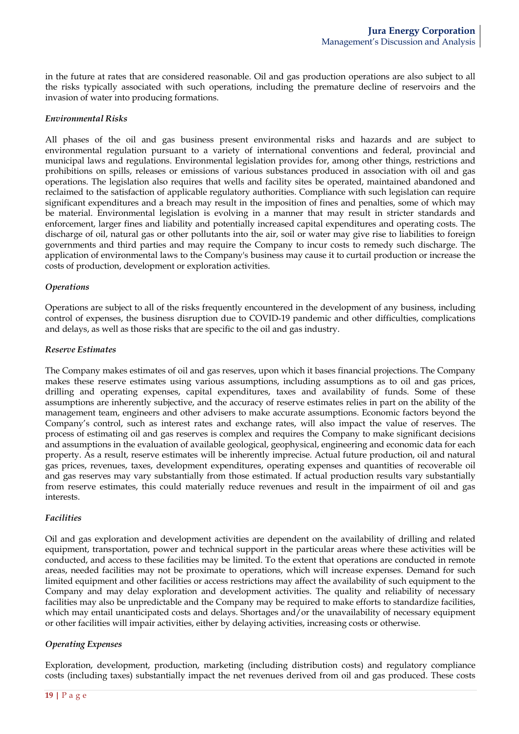in the future at rates that are considered reasonable. Oil and gas production operations are also subject to all the risks typically associated with such operations, including the premature decline of reservoirs and the invasion of water into producing formations.

### *Environmental Risks*

All phases of the oil and gas business present environmental risks and hazards and are subject to environmental regulation pursuant to a variety of international conventions and federal, provincial and municipal laws and regulations. Environmental legislation provides for, among other things, restrictions and prohibitions on spills, releases or emissions of various substances produced in association with oil and gas operations. The legislation also requires that wells and facility sites be operated, maintained abandoned and reclaimed to the satisfaction of applicable regulatory authorities. Compliance with such legislation can require significant expenditures and a breach may result in the imposition of fines and penalties, some of which may be material. Environmental legislation is evolving in a manner that may result in stricter standards and enforcement, larger fines and liability and potentially increased capital expenditures and operating costs. The discharge of oil, natural gas or other pollutants into the air, soil or water may give rise to liabilities to foreign governments and third parties and may require the Company to incur costs to remedy such discharge. The application of environmental laws to the Company's business may cause it to curtail production or increase the costs of production, development or exploration activities.

### *Operations*

Operations are subject to all of the risks frequently encountered in the development of any business, including control of expenses, the business disruption due to COVID-19 pandemic and other difficulties, complications and delays, as well as those risks that are specific to the oil and gas industry.

### *Reserve Estimates*

The Company makes estimates of oil and gas reserves, upon which it bases financial projections. The Company makes these reserve estimates using various assumptions, including assumptions as to oil and gas prices, drilling and operating expenses, capital expenditures, taxes and availability of funds. Some of these assumptions are inherently subjective, and the accuracy of reserve estimates relies in part on the ability of the management team, engineers and other advisers to make accurate assumptions. Economic factors beyond the Company's control, such as interest rates and exchange rates, will also impact the value of reserves. The process of estimating oil and gas reserves is complex and requires the Company to make significant decisions and assumptions in the evaluation of available geological, geophysical, engineering and economic data for each property. As a result, reserve estimates will be inherently imprecise. Actual future production, oil and natural gas prices, revenues, taxes, development expenditures, operating expenses and quantities of recoverable oil and gas reserves may vary substantially from those estimated. If actual production results vary substantially from reserve estimates, this could materially reduce revenues and result in the impairment of oil and gas interests.

## *Facilities*

Oil and gas exploration and development activities are dependent on the availability of drilling and related equipment, transportation, power and technical support in the particular areas where these activities will be conducted, and access to these facilities may be limited. To the extent that operations are conducted in remote areas, needed facilities may not be proximate to operations, which will increase expenses. Demand for such limited equipment and other facilities or access restrictions may affect the availability of such equipment to the Company and may delay exploration and development activities. The quality and reliability of necessary facilities may also be unpredictable and the Company may be required to make efforts to standardize facilities, which may entail unanticipated costs and delays. Shortages and/or the unavailability of necessary equipment or other facilities will impair activities, either by delaying activities, increasing costs or otherwise.

## *Operating Expenses*

Exploration, development, production, marketing (including distribution costs) and regulatory compliance costs (including taxes) substantially impact the net revenues derived from oil and gas produced. These costs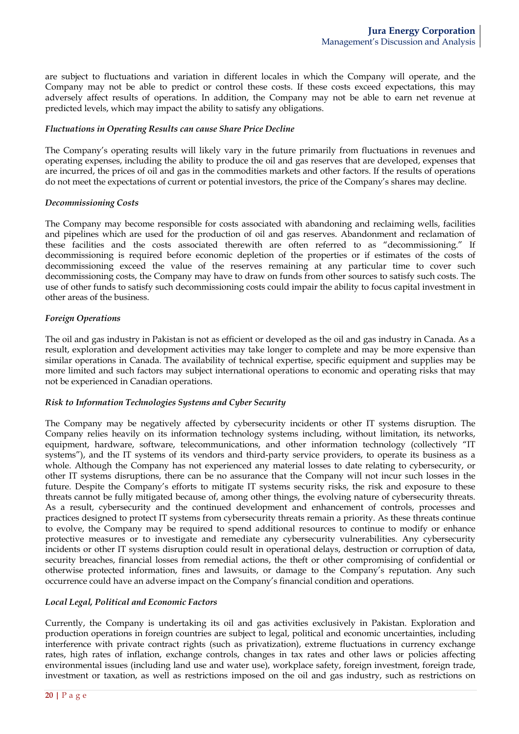are subject to fluctuations and variation in different locales in which the Company will operate, and the Company may not be able to predict or control these costs. If these costs exceed expectations, this may adversely affect results of operations. In addition, the Company may not be able to earn net revenue at predicted levels, which may impact the ability to satisfy any obligations.

### *Fluctuations in Operating Results can cause Share Price Decline*

The Company's operating results will likely vary in the future primarily from fluctuations in revenues and operating expenses, including the ability to produce the oil and gas reserves that are developed, expenses that are incurred, the prices of oil and gas in the commodities markets and other factors. If the results of operations do not meet the expectations of current or potential investors, the price of the Company's shares may decline.

### *Decommissioning Costs*

The Company may become responsible for costs associated with abandoning and reclaiming wells, facilities and pipelines which are used for the production of oil and gas reserves. Abandonment and reclamation of these facilities and the costs associated therewith are often referred to as "decommissioning." If decommissioning is required before economic depletion of the properties or if estimates of the costs of decommissioning exceed the value of the reserves remaining at any particular time to cover such decommissioning costs, the Company may have to draw on funds from other sources to satisfy such costs. The use of other funds to satisfy such decommissioning costs could impair the ability to focus capital investment in other areas of the business.

# *Foreign Operations*

The oil and gas industry in Pakistan is not as efficient or developed as the oil and gas industry in Canada. As a result, exploration and development activities may take longer to complete and may be more expensive than similar operations in Canada. The availability of technical expertise, specific equipment and supplies may be more limited and such factors may subject international operations to economic and operating risks that may not be experienced in Canadian operations.

## *Risk to Information Technologies Systems and Cyber Security*

The Company may be negatively affected by cybersecurity incidents or other IT systems disruption. The Company relies heavily on its information technology systems including, without limitation, its networks, equipment, hardware, software, telecommunications, and other information technology (collectively "IT systems"), and the IT systems of its vendors and third-party service providers, to operate its business as a whole. Although the Company has not experienced any material losses to date relating to cybersecurity, or other IT systems disruptions, there can be no assurance that the Company will not incur such losses in the future. Despite the Company's efforts to mitigate IT systems security risks, the risk and exposure to these threats cannot be fully mitigated because of, among other things, the evolving nature of cybersecurity threats. As a result, cybersecurity and the continued development and enhancement of controls, processes and practices designed to protect IT systems from cybersecurity threats remain a priority. As these threats continue to evolve, the Company may be required to spend additional resources to continue to modify or enhance protective measures or to investigate and remediate any cybersecurity vulnerabilities. Any cybersecurity incidents or other IT systems disruption could result in operational delays, destruction or corruption of data, security breaches, financial losses from remedial actions, the theft or other compromising of confidential or otherwise protected information, fines and lawsuits, or damage to the Company's reputation. Any such occurrence could have an adverse impact on the Company's financial condition and operations.

## *Local Legal, Political and Economic Factors*

Currently, the Company is undertaking its oil and gas activities exclusively in Pakistan. Exploration and production operations in foreign countries are subject to legal, political and economic uncertainties, including interference with private contract rights (such as privatization), extreme fluctuations in currency exchange rates, high rates of inflation, exchange controls, changes in tax rates and other laws or policies affecting environmental issues (including land use and water use), workplace safety, foreign investment, foreign trade, investment or taxation, as well as restrictions imposed on the oil and gas industry, such as restrictions on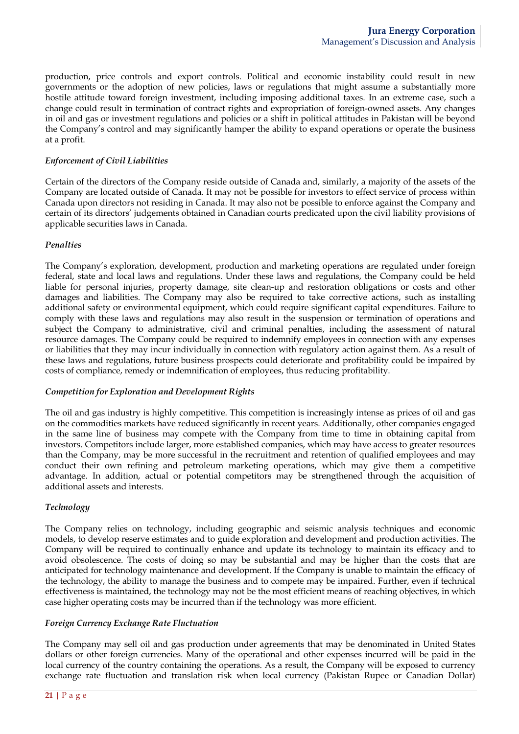production, price controls and export controls. Political and economic instability could result in new governments or the adoption of new policies, laws or regulations that might assume a substantially more hostile attitude toward foreign investment, including imposing additional taxes. In an extreme case, such a change could result in termination of contract rights and expropriation of foreign-owned assets. Any changes in oil and gas or investment regulations and policies or a shift in political attitudes in Pakistan will be beyond the Company's control and may significantly hamper the ability to expand operations or operate the business at a profit.

## *Enforcement of Civil Liabilities*

Certain of the directors of the Company reside outside of Canada and, similarly, a majority of the assets of the Company are located outside of Canada. It may not be possible for investors to effect service of process within Canada upon directors not residing in Canada. It may also not be possible to enforce against the Company and certain of its directors' judgements obtained in Canadian courts predicated upon the civil liability provisions of applicable securities laws in Canada.

## *Penalties*

The Company's exploration, development, production and marketing operations are regulated under foreign federal, state and local laws and regulations. Under these laws and regulations, the Company could be held liable for personal injuries, property damage, site clean-up and restoration obligations or costs and other damages and liabilities. The Company may also be required to take corrective actions, such as installing additional safety or environmental equipment, which could require significant capital expenditures. Failure to comply with these laws and regulations may also result in the suspension or termination of operations and subject the Company to administrative, civil and criminal penalties, including the assessment of natural resource damages. The Company could be required to indemnify employees in connection with any expenses or liabilities that they may incur individually in connection with regulatory action against them. As a result of these laws and regulations, future business prospects could deteriorate and profitability could be impaired by costs of compliance, remedy or indemnification of employees, thus reducing profitability.

## *Competition for Exploration and Development Rights*

The oil and gas industry is highly competitive. This competition is increasingly intense as prices of oil and gas on the commodities markets have reduced significantly in recent years. Additionally, other companies engaged in the same line of business may compete with the Company from time to time in obtaining capital from investors. Competitors include larger, more established companies, which may have access to greater resources than the Company, may be more successful in the recruitment and retention of qualified employees and may conduct their own refining and petroleum marketing operations, which may give them a competitive advantage. In addition, actual or potential competitors may be strengthened through the acquisition of additional assets and interests.

# *Technology*

The Company relies on technology, including geographic and seismic analysis techniques and economic models, to develop reserve estimates and to guide exploration and development and production activities. The Company will be required to continually enhance and update its technology to maintain its efficacy and to avoid obsolescence. The costs of doing so may be substantial and may be higher than the costs that are anticipated for technology maintenance and development. If the Company is unable to maintain the efficacy of the technology, the ability to manage the business and to compete may be impaired. Further, even if technical effectiveness is maintained, the technology may not be the most efficient means of reaching objectives, in which case higher operating costs may be incurred than if the technology was more efficient.

## *Foreign Currency Exchange Rate Fluctuation*

The Company may sell oil and gas production under agreements that may be denominated in United States dollars or other foreign currencies. Many of the operational and other expenses incurred will be paid in the local currency of the country containing the operations. As a result, the Company will be exposed to currency exchange rate fluctuation and translation risk when local currency (Pakistan Rupee or Canadian Dollar)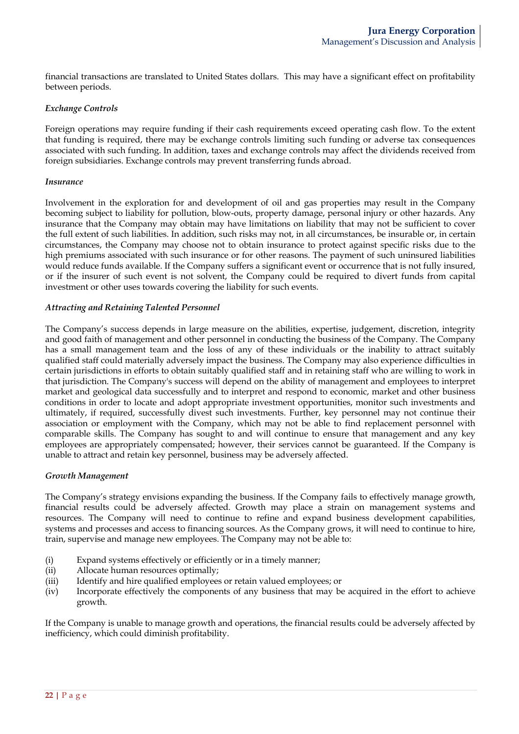financial transactions are translated to United States dollars. This may have a significant effect on profitability between periods.

### *Exchange Controls*

Foreign operations may require funding if their cash requirements exceed operating cash flow. To the extent that funding is required, there may be exchange controls limiting such funding or adverse tax consequences associated with such funding. In addition, taxes and exchange controls may affect the dividends received from foreign subsidiaries. Exchange controls may prevent transferring funds abroad.

#### *Insurance*

Involvement in the exploration for and development of oil and gas properties may result in the Company becoming subject to liability for pollution, blow-outs, property damage, personal injury or other hazards. Any insurance that the Company may obtain may have limitations on liability that may not be sufficient to cover the full extent of such liabilities. In addition, such risks may not, in all circumstances, be insurable or, in certain circumstances, the Company may choose not to obtain insurance to protect against specific risks due to the high premiums associated with such insurance or for other reasons. The payment of such uninsured liabilities would reduce funds available. If the Company suffers a significant event or occurrence that is not fully insured, or if the insurer of such event is not solvent, the Company could be required to divert funds from capital investment or other uses towards covering the liability for such events.

### *Attracting and Retaining Talented Personnel*

The Company's success depends in large measure on the abilities, expertise, judgement, discretion, integrity and good faith of management and other personnel in conducting the business of the Company. The Company has a small management team and the loss of any of these individuals or the inability to attract suitably qualified staff could materially adversely impact the business. The Company may also experience difficulties in certain jurisdictions in efforts to obtain suitably qualified staff and in retaining staff who are willing to work in that jurisdiction. The Company's success will depend on the ability of management and employees to interpret market and geological data successfully and to interpret and respond to economic, market and other business conditions in order to locate and adopt appropriate investment opportunities, monitor such investments and ultimately, if required, successfully divest such investments. Further, key personnel may not continue their association or employment with the Company, which may not be able to find replacement personnel with comparable skills. The Company has sought to and will continue to ensure that management and any key employees are appropriately compensated; however, their services cannot be guaranteed. If the Company is unable to attract and retain key personnel, business may be adversely affected.

## *Growth Management*

The Company's strategy envisions expanding the business. If the Company fails to effectively manage growth, financial results could be adversely affected. Growth may place a strain on management systems and resources. The Company will need to continue to refine and expand business development capabilities, systems and processes and access to financing sources. As the Company grows, it will need to continue to hire, train, supervise and manage new employees. The Company may not be able to:

- (i) Expand systems effectively or efficiently or in a timely manner;
- (ii) Allocate human resources optimally;
- (iii) Identify and hire qualified employees or retain valued employees; or
- (iv) Incorporate effectively the components of any business that may be acquired in the effort to achieve growth.

If the Company is unable to manage growth and operations, the financial results could be adversely affected by inefficiency, which could diminish profitability.